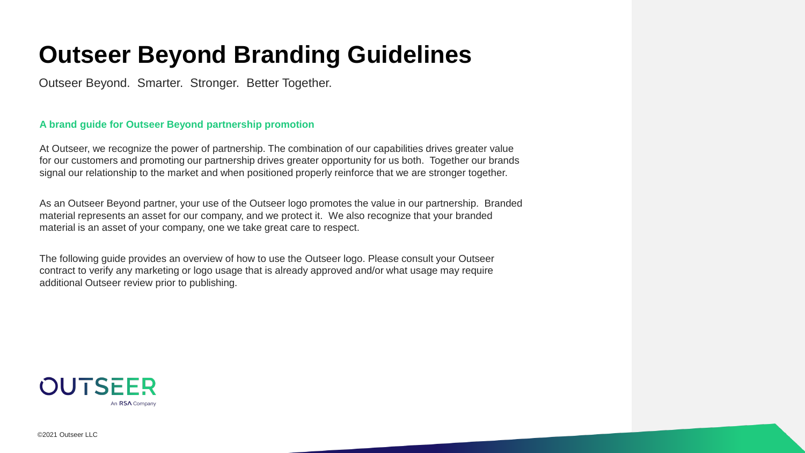## **Outseer Beyond Branding Guidelines**

Outseer Beyond. Smarter. Stronger. Better Together.

### **A brand guide for Outseer Beyond partnership promotion**

At Outseer, we recognize the power of partnership. The combination of our capabilities drives greater value for our customers and promoting our partnership drives greater opportunity for us both. Together our brands signal our relationship to the market and when positioned properly reinforce that we are stronger together.

As an Outseer Beyond partner, your use of the Outseer logo promotes the value in our partnership. Branded material represents an asset for our company, and we protect it. We also recognize that your branded material is an asset of your company, one we take great care to respect.

The following guide provides an overview of how to use the Outseer logo. Please consult your Outseer contract to verify any marketing or logo usage that is already approved and/or what usage may require additional Outseer review prior to publishing.



©2021 Outseer LLC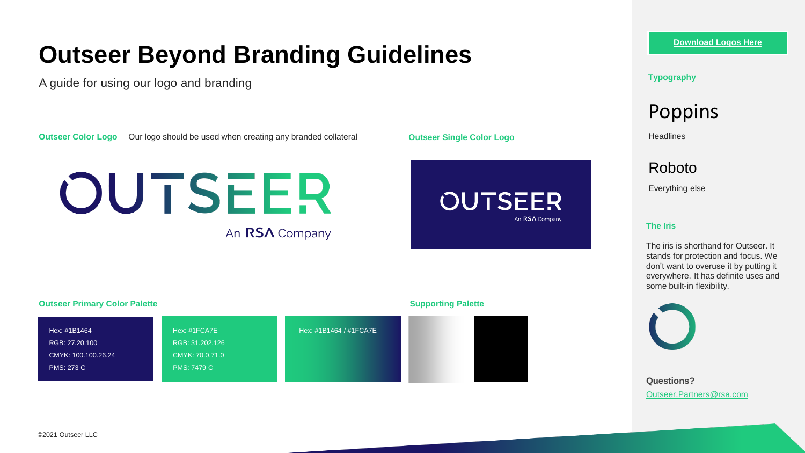## **Outseer Beyond Branding Guidelines**

A guide for using our logo and branding

**Outseer Color Logo** Our logo should be used when creating any branded collateral

# OUTSEER

An RSA Company

**Outseer Single Color Logo**



**Outseer Primary Color Palette Supporting Palette** RGB: 27.20.100 CMYK: 100.100.26.24 PMS: 273 C Hex: #1B1464 RGB: 31.202.126 CMYK: 70.0.71.0 PMS: 7479 C Hex: #1FCA7E Hex: #1B1464 / #1FCA7E

#### **[Download Logos Here](https://outseer.com/about-us/brand/)**

#### **Typography**

**Poppins** 

**Headlines** 

Roboto

Everything else

#### **The Iris**

The iris is shorthand for Outseer. It stands for protection and focus. We don't want to overuse it by putting it everywhere. It has definite uses and some built-in flexibility.



**Questions?** Outseer.Partners@rsa.com